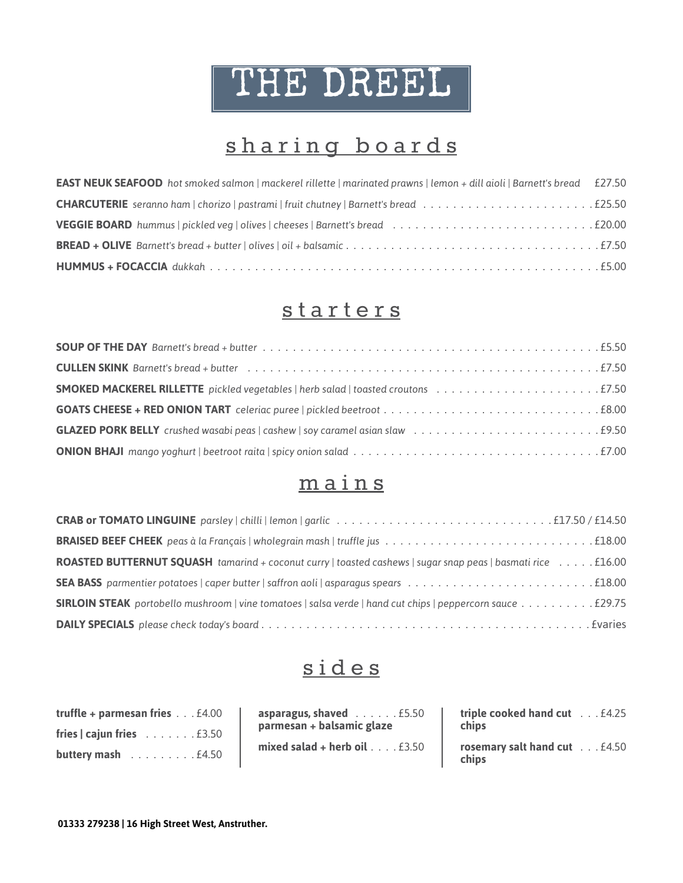# THE DREEL

## sharing boards

| <b>EAST NEUK SEAFOOD</b> hot smoked salmon   mackerel rillette   marinated prawns   lemon + dill aioli   Barnett's bread £27.50 |  |
|---------------------------------------------------------------------------------------------------------------------------------|--|
|                                                                                                                                 |  |
|                                                                                                                                 |  |
|                                                                                                                                 |  |
|                                                                                                                                 |  |

## starters

#### mains

| <b>ROASTED BUTTERNUT SQUASH</b> tamarind + coconut curry   toasted cashews   sugar snap peas   basmati rice £16.00 |  |
|--------------------------------------------------------------------------------------------------------------------|--|
|                                                                                                                    |  |
| <b>SIRLOIN STEAK</b> portobello mushroom   vine tomatoes   salsa verde   hand cut chips   peppercorn sauce £29.75  |  |
|                                                                                                                    |  |

## sides

| truffle + parmesan fries £4.00                   | asparagus, shaved $\ldots \ldots 15.50$<br>parmesan + balsamic glaze | triple cooked hand cut £4.25<br>chips        |
|--------------------------------------------------|----------------------------------------------------------------------|----------------------------------------------|
| fries $ $ cajun fries $\ldots \ldots$ . £3.50    | mixed salad + herb oil $\dots$ . $£3.50$                             |                                              |
| <b>buttery mash</b> $\ldots \ldots \ldots 14.50$ |                                                                      | <b>rosemary salt hand cut</b> £4.50<br>chips |